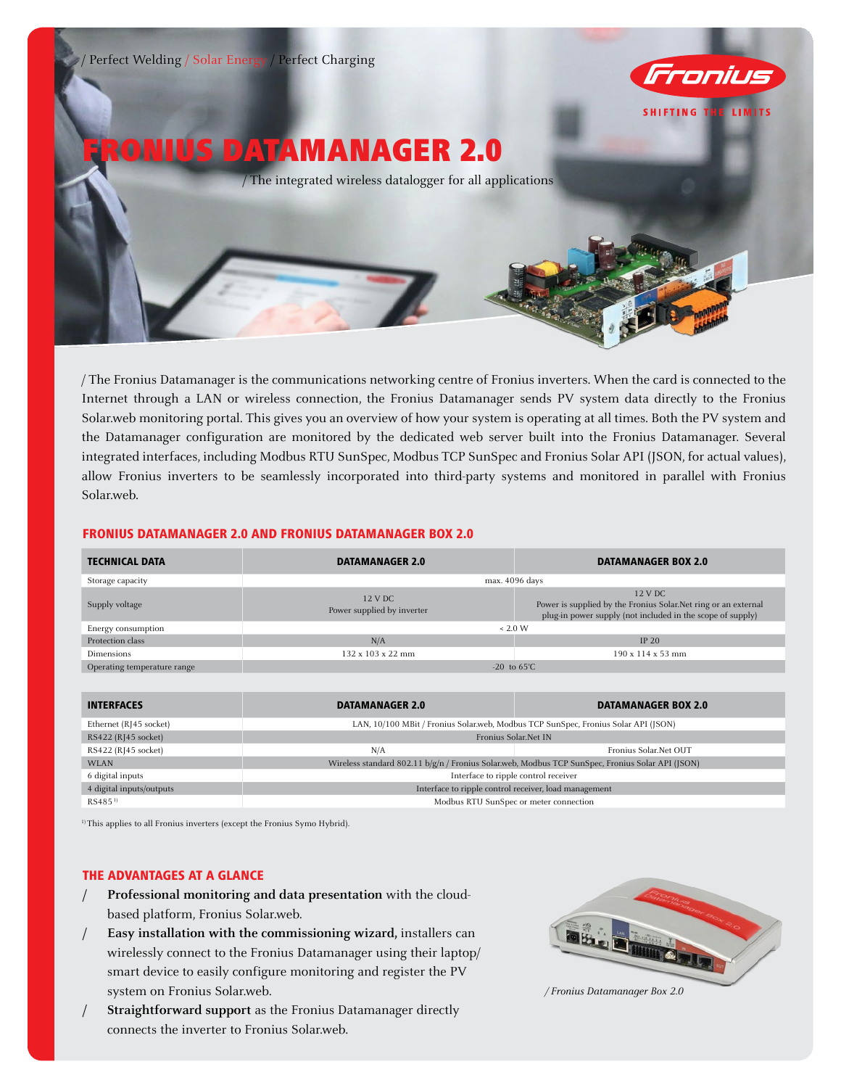

/ The Fronius Datamanager is the communications networking centre of Fronius inverters. When the card is connected to the Internet through a LAN or wireless connection, the Fronius Datamanager sends PV system data directly to the Fronius Solar.web monitoring portal. This gives you an overview of how your system is operating at all times. Both the PV system and the Datamanager configuration are monitored by the dedicated web server built into the Fronius Datamanager. Several integrated interfaces, including Modbus RTU SunSpec, Modbus TCP SunSpec and Fronius Solar API (JSON, for actual values), allow Fronius inverters to be seamlessly incorporated into third-party systems and monitored in parallel with Fronius Solar.web.

# FRONIUS DATAMANAGER 2.0 AND FRONIUS DATAMANAGER BOX 2.0

| <b>TECHNICAL DATA</b>       | <b>DATAMANAGER 2.0</b>                                                                           | <b>DATAMANAGER BOX 2.0</b>                                                                                                               |
|-----------------------------|--------------------------------------------------------------------------------------------------|------------------------------------------------------------------------------------------------------------------------------------------|
| Storage capacity            | max. 4096 days                                                                                   |                                                                                                                                          |
| Supply voltage              | 12 V DC<br>Power supplied by inverter                                                            | 12 V DC<br>Power is supplied by the Fronius Solar. Net ring or an external<br>plug-in power supply (not included in the scope of supply) |
| Energy consumption          | ~< 2.0 W                                                                                         |                                                                                                                                          |
| Protection class            | N/A                                                                                              | <b>IP 20</b>                                                                                                                             |
| Dimensions                  | 132 x 103 x 22 mm                                                                                | $190 \times 114 \times 53$ mm                                                                                                            |
| Operating temperature range | $-20$ to $65^{\circ}$ C                                                                          |                                                                                                                                          |
|                             |                                                                                                  |                                                                                                                                          |
| <b>INTERFACES</b>           | <b>DATAMANAGER 2.0</b>                                                                           | <b>DATAMANAGER BOX 2.0</b>                                                                                                               |
| Ethernet (RJ45 socket)      | LAN, 10/100 MBit / Fronius Solar.web, Modbus TCP SunSpec, Fronius Solar API (JSON)               |                                                                                                                                          |
| RS422 (RJ45 socket)         | Fronius Solar.Net IN                                                                             |                                                                                                                                          |
| RS422 (RJ45 socket)         | N/A                                                                                              | Fronius Solar.Net OUT                                                                                                                    |
| <b>WLAN</b>                 | Wireless standard 802.11 b/g/n / Fronius Solar.web, Modbus TCP SunSpec, Fronius Solar API (JSON) |                                                                                                                                          |
| 6 digital inputs            | Interface to ripple control receiver                                                             |                                                                                                                                          |

<sup>1)</sup> This applies to all Fronius inverters (except the Fronius Symo Hybrid).

## THE ADVANTAGES AT A GLANCE

**/ Professional monitoring and data presentation** with the cloudbased platform, Fronius Solar.web.

4 digital inputs/outputs Interface to ripple control receiver, load management RS485<sup>1)</sup> Modbus RTU SunSpec or meter connection

- **/ Easy installation with the commissioning wizard,** installers can wirelessly connect to the Fronius Datamanager using their laptop/ smart device to easily configure monitoring and register the PV system on Fronius Solar.web.
- **/ Straightforward support** as the Fronius Datamanager directly connects the inverter to Fronius Solar.web.



*/ Fronius Datamanager Box 2.0*